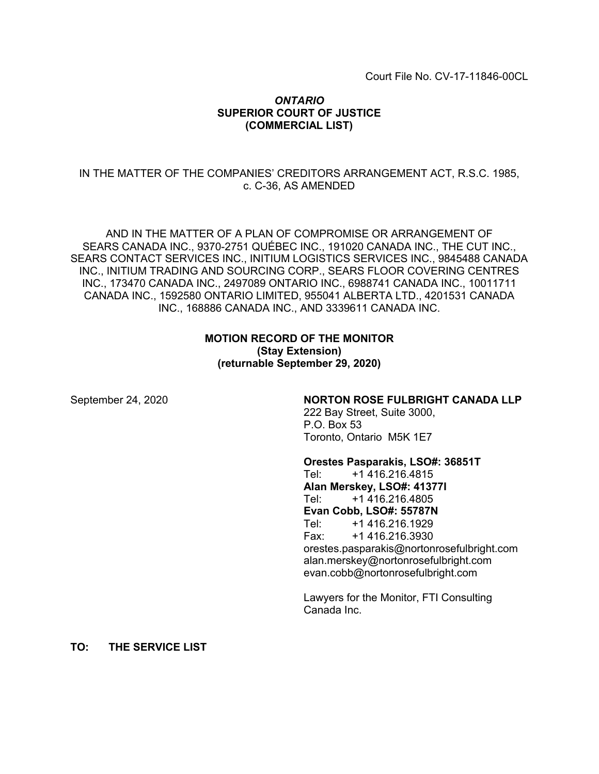Court File No. CV-17-11846-00CL

## *ONTARIO* **SUPERIOR COURT OF JUSTICE (COMMERCIAL LIST)**

## IN THE MATTER OF THE COMPANIES' CREDITORS ARRANGEMENT ACT, R.S.C. 1985, c. C-36, AS AMENDED

AND IN THE MATTER OF A PLAN OF COMPROMISE OR ARRANGEMENT OF SEARS CANADA INC., 9370-2751 QUÉBEC INC., 191020 CANADA INC., THE CUT INC., SEARS CONTACT SERVICES INC., INITIUM LOGISTICS SERVICES INC., 9845488 CANADA INC., INITIUM TRADING AND SOURCING CORP., SEARS FLOOR COVERING CENTRES INC., 173470 CANADA INC., 2497089 ONTARIO INC., 6988741 CANADA INC., 10011711 CANADA INC., 1592580 ONTARIO LIMITED, 955041 ALBERTA LTD., 4201531 CANADA INC., 168886 CANADA INC., AND 3339611 CANADA INC.

## **MOTION RECORD OF THE MONITOR (Stay Extension) (returnable September 29, 2020)**

#### September 24, 2020 **NORTON ROSE FULBRIGHT CANADA LLP**

222 Bay Street, Suite 3000, P.O. Box 53 Toronto, Ontario M5K 1E7

#### **Orestes Pasparakis, LSO#: 36851T**

Tel: +1 416.216.4815 **Alan Merskey, LSO#: 41377I** Tel: +1 416.216.4805 **Evan Cobb, LSO#: 55787N** Tel: +1 416.216.1929 Fax: +1 416.216.3930 orestes.pasparakis@nortonrosefulbright.com alan.merskey@nortonrosefulbright.com evan.cobb@nortonrosefulbright.com

Lawyers for the Monitor, FTI Consulting Canada Inc.

**TO: THE SERVICE LIST**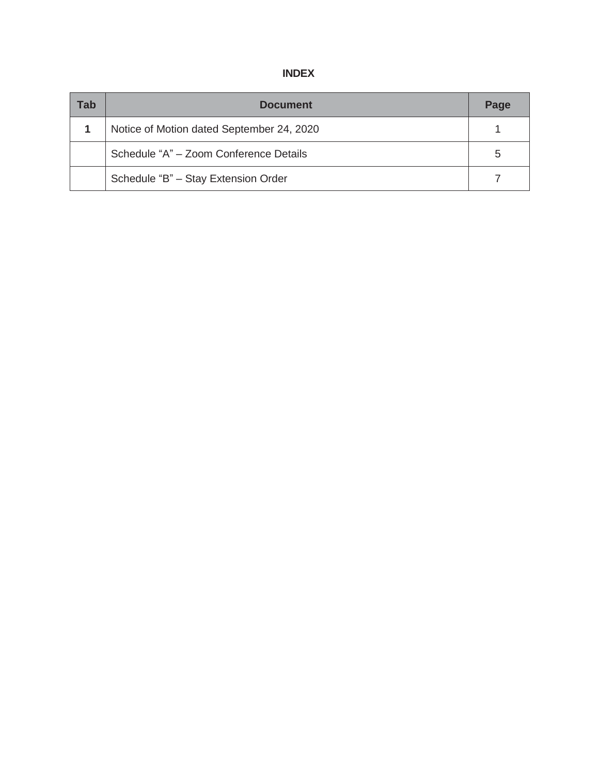| Tab | <b>Document</b>                           | Page |
|-----|-------------------------------------------|------|
|     | Notice of Motion dated September 24, 2020 |      |
|     | Schedule "A" - Zoom Conference Details    | 5    |
|     | Schedule "B" - Stay Extension Order       |      |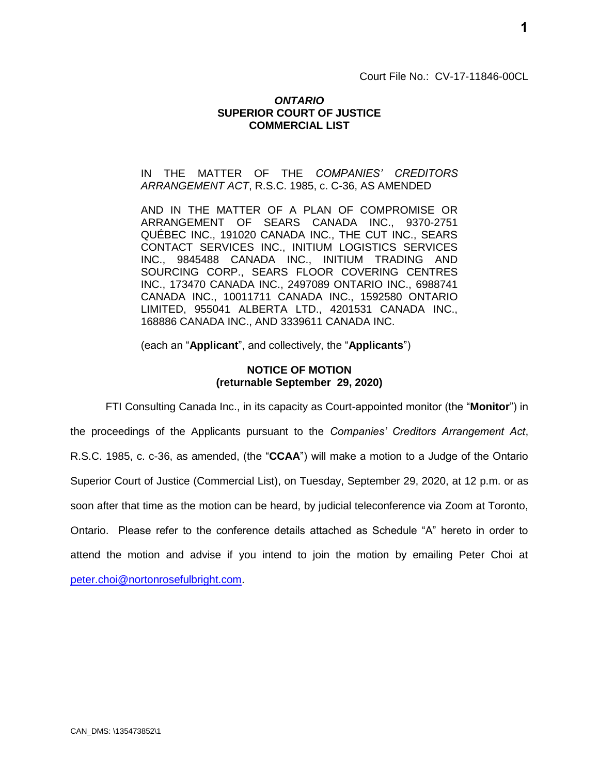Court File No.: CV-17-11846-00CL

## *ONTARIO* **SUPERIOR COURT OF JUSTICE COMMERCIAL LIST**

### IN THE MATTER OF THE *COMPANIES' CREDITORS ARRANGEMENT ACT*, R.S.C. 1985, c. C-36, AS AMENDED

AND IN THE MATTER OF A PLAN OF COMPROMISE OR ARRANGEMENT OF SEARS CANADA INC., 9370-2751 QUÉBEC INC., 191020 CANADA INC., THE CUT INC., SEARS CONTACT SERVICES INC., INITIUM LOGISTICS SERVICES INC., 9845488 CANADA INC., INITIUM TRADING AND SOURCING CORP., SEARS FLOOR COVERING CENTRES INC., 173470 CANADA INC., 2497089 ONTARIO INC., 6988741 CANADA INC., 10011711 CANADA INC., 1592580 ONTARIO LIMITED, 955041 ALBERTA LTD., 4201531 CANADA INC., 168886 CANADA INC., AND 3339611 CANADA INC.

(each an "**Applicant**", and collectively, the "**Applicants**")

## **NOTICE OF MOTION (returnable September 29, 2020)**

FTI Consulting Canada Inc., in its capacity as Court-appointed monitor (the "**Monitor**") in the proceedings of the Applicants pursuant to the *Companies' Creditors Arrangement Act*, R.S.C. 1985, c. c-36, as amended, (the "**CCAA**") will make a motion to a Judge of the Ontario Superior Court of Justice (Commercial List), on Tuesday, September 29, 2020, at 12 p.m. or as soon after that time as the motion can be heard, by judicial teleconference via Zoom at Toronto, Ontario. Please refer to the conference details attached as Schedule "A" hereto in order to attend the motion and advise if you intend to join the motion by emailing Peter Choi at

[peter.choi@nortonrosefulbright.com.](mailto:peter.choi@nortonrosefulbright.com)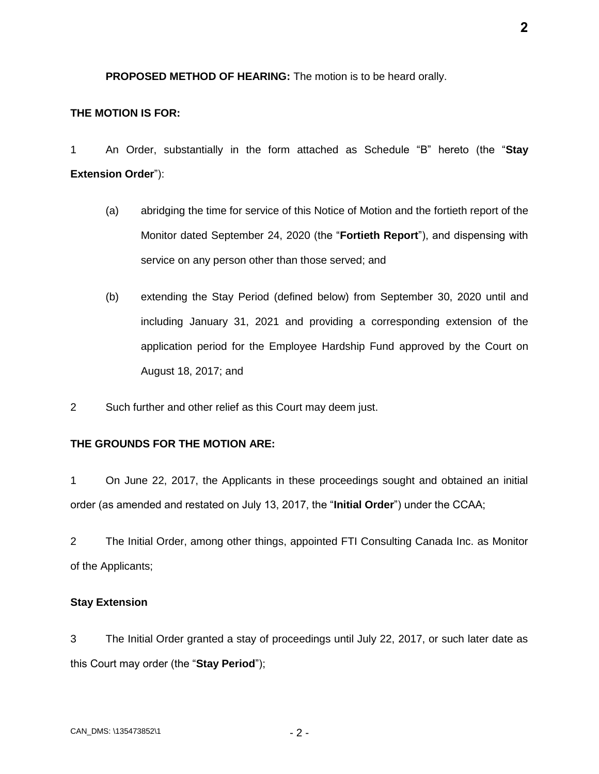**PROPOSED METHOD OF HEARING:** The motion is to be heard orally.

### **THE MOTION IS FOR:**

1 An Order, substantially in the form attached as Schedule "B" hereto (the "**Stay Extension Order**"):

- (a) abridging the time for service of this Notice of Motion and the fortieth report of the Monitor dated September 24, 2020 (the "**Fortieth Report**"), and dispensing with service on any person other than those served; and
- (b) extending the Stay Period (defined below) from September 30, 2020 until and including January 31, 2021 and providing a corresponding extension of the application period for the Employee Hardship Fund approved by the Court on August 18, 2017; and
- 2 Such further and other relief as this Court may deem just.

## **THE GROUNDS FOR THE MOTION ARE:**

1 On June 22, 2017, the Applicants in these proceedings sought and obtained an initial order (as amended and restated on July 13, 2017, the "**Initial Order**") under the CCAA;

2 The Initial Order, among other things, appointed FTI Consulting Canada Inc. as Monitor of the Applicants;

### **Stay Extension**

3 The Initial Order granted a stay of proceedings until July 22, 2017, or such later date as this Court may order (the "**Stay Period**");

**2**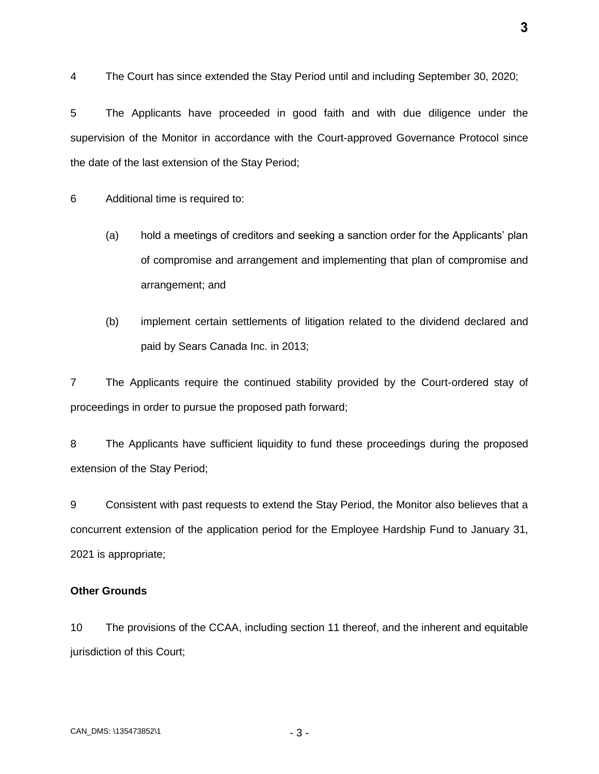4 The Court has since extended the Stay Period until and including September 30, 2020;

5 The Applicants have proceeded in good faith and with due diligence under the supervision of the Monitor in accordance with the Court-approved Governance Protocol since the date of the last extension of the Stay Period;

6 Additional time is required to:

- (a) hold a meetings of creditors and seeking a sanction order for the Applicants' plan of compromise and arrangement and implementing that plan of compromise and arrangement; and
- (b) implement certain settlements of litigation related to the dividend declared and paid by Sears Canada Inc. in 2013;

7 The Applicants require the continued stability provided by the Court-ordered stay of proceedings in order to pursue the proposed path forward;

8 The Applicants have sufficient liquidity to fund these proceedings during the proposed extension of the Stay Period;

9 Consistent with past requests to extend the Stay Period, the Monitor also believes that a concurrent extension of the application period for the Employee Hardship Fund to January 31, 2021 is appropriate;

## **Other Grounds**

10 The provisions of the CCAA, including section 11 thereof, and the inherent and equitable jurisdiction of this Court;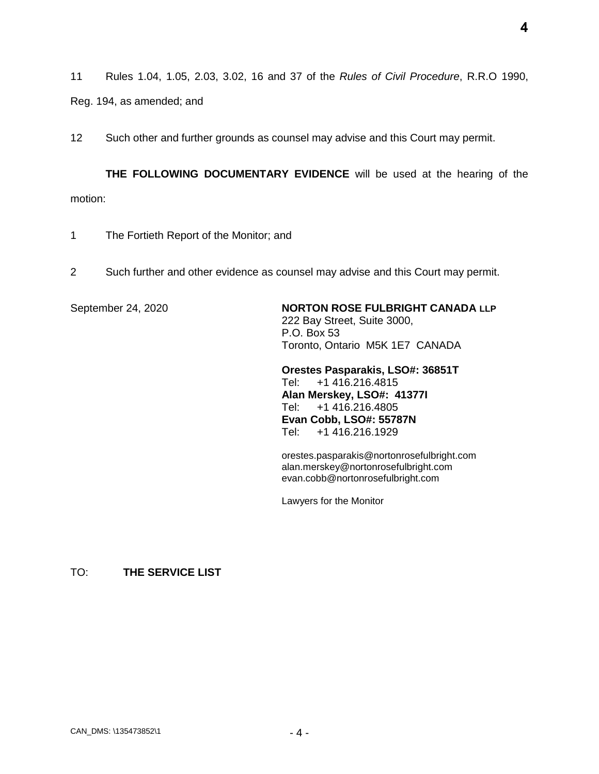**4**

11 Rules 1.04, 1.05, 2.03, 3.02, 16 and 37 of the *Rules of Civil Procedure*, R.R.O 1990,

Reg. 194, as amended; and

12 Such other and further grounds as counsel may advise and this Court may permit.

**THE FOLLOWING DOCUMENTARY EVIDENCE** will be used at the hearing of the motion:

- 1 The Fortieth Report of the Monitor; and
- 2 Such further and other evidence as counsel may advise and this Court may permit.

September 24, 2020 **NORTON ROSE FULBRIGHT CANADA LLP** 222 Bay Street, Suite 3000, P.O. Box 53 Toronto, Ontario M5K 1E7 CANADA

> **Orestes Pasparakis, LSO#: 36851T** Tel: +1 416.216.4815 **Alan Merskey, LSO#: 41377I** Tel: +1 416.216.4805 **Evan Cobb, LSO#: 55787N** Tel: +1 416.216.1929

orestes.pasparakis@nortonrosefulbright.com alan.merskey@nortonrosefulbright.com evan.cobb@nortonrosefulbright.com

Lawyers for the Monitor

TO: **THE SERVICE LIST**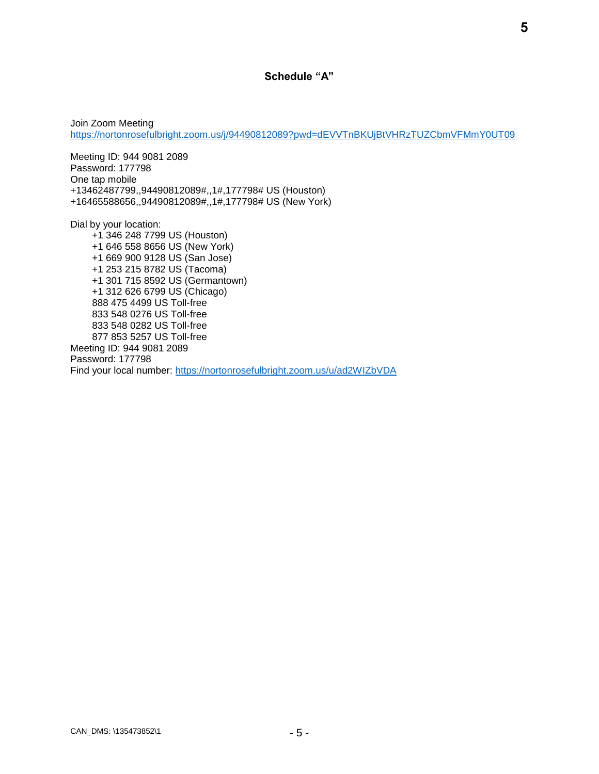## **Schedule "A"**

Join Zoom Meeting <https://nortonrosefulbright.zoom.us/j/94490812089?pwd=dEVVTnBKUjBtVHRzTUZCbmVFMmY0UT09>

Meeting ID: 944 9081 2089 Password: 177798 One tap mobile +13462487799,,94490812089#,,1#,177798# US (Houston) +16465588656,,94490812089#,,1#,177798# US (New York)

Dial by your location:

 +1 346 248 7799 US (Houston) +1 646 558 8656 US (New York) +1 669 900 9128 US (San Jose) +1 253 215 8782 US (Tacoma) +1 301 715 8592 US (Germantown) +1 312 626 6799 US (Chicago) 888 475 4499 US Toll-free 833 548 0276 US Toll-free 833 548 0282 US Toll-free 877 853 5257 US Toll-free Meeting ID: 944 9081 2089 Password: 177798 Find your local number:<https://nortonrosefulbright.zoom.us/u/ad2WIZbVDA>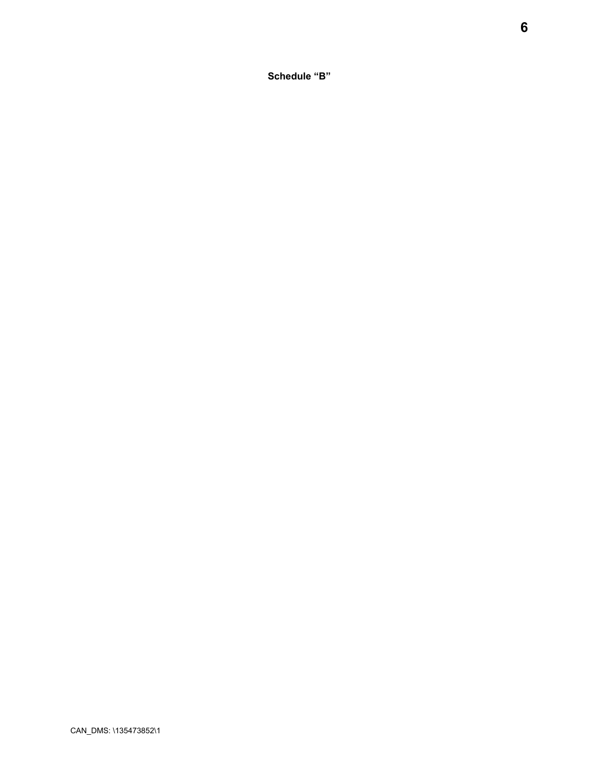**Schedule "B"**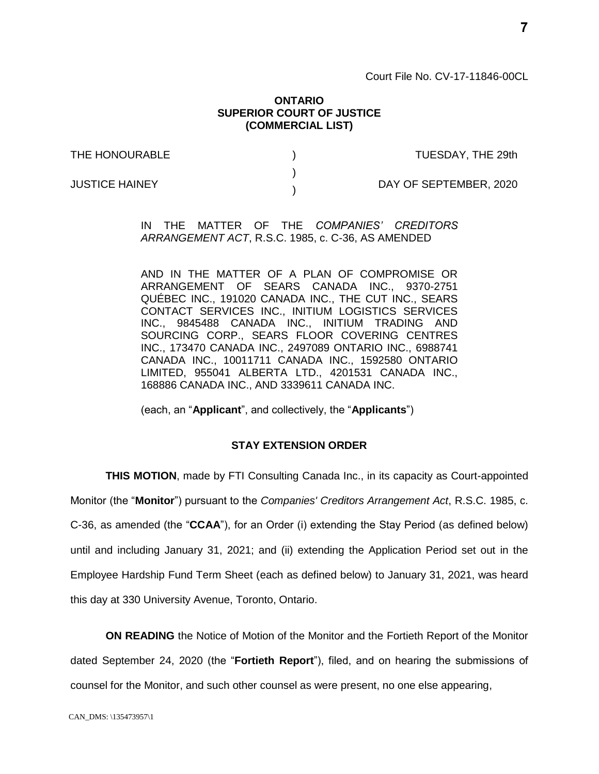Court File No. CV-17-11846-00CL

#### **ONTARIO SUPERIOR COURT OF JUSTICE (COMMERCIAL LIST)**

) )  $\lambda$ 

THE HONOURABLE

TUESDAY, THE 29th

JUSTICE HAINEY

DAY OF SEPTEMBER, 2020

IN THE MATTER OF THE *COMPANIES' CREDITORS ARRANGEMENT ACT*, R.S.C. 1985, c. C-36, AS AMENDED

AND IN THE MATTER OF A PLAN OF COMPROMISE OR ARRANGEMENT OF SEARS CANADA INC., 9370-2751 QUÉBEC INC., 191020 CANADA INC., THE CUT INC., SEARS CONTACT SERVICES INC., INITIUM LOGISTICS SERVICES INC., 9845488 CANADA INC., INITIUM TRADING AND SOURCING CORP., SEARS FLOOR COVERING CENTRES INC., 173470 CANADA INC., 2497089 ONTARIO INC., 6988741 CANADA INC., 10011711 CANADA INC., 1592580 ONTARIO LIMITED, 955041 ALBERTA LTD., 4201531 CANADA INC., 168886 CANADA INC., AND 3339611 CANADA INC.

(each, an "**Applicant**", and collectively, the "**Applicants**")

## **STAY EXTENSION ORDER**

**THIS MOTION**, made by FTI Consulting Canada Inc., in its capacity as Court-appointed Monitor (the "**Monitor**") pursuant to the *Companies' Creditors Arrangement Act*, R.S.C. 1985, c. C-36, as amended (the "**CCAA**"), for an Order (i) extending the Stay Period (as defined below) until and including January 31, 2021; and (ii) extending the Application Period set out in the Employee Hardship Fund Term Sheet (each as defined below) to January 31, 2021, was heard this day at 330 University Avenue, Toronto, Ontario.

**ON READING** the Notice of Motion of the Monitor and the Fortieth Report of the Monitor dated September 24, 2020 (the "**Fortieth Report**"), filed, and on hearing the submissions of counsel for the Monitor, and such other counsel as were present, no one else appearing,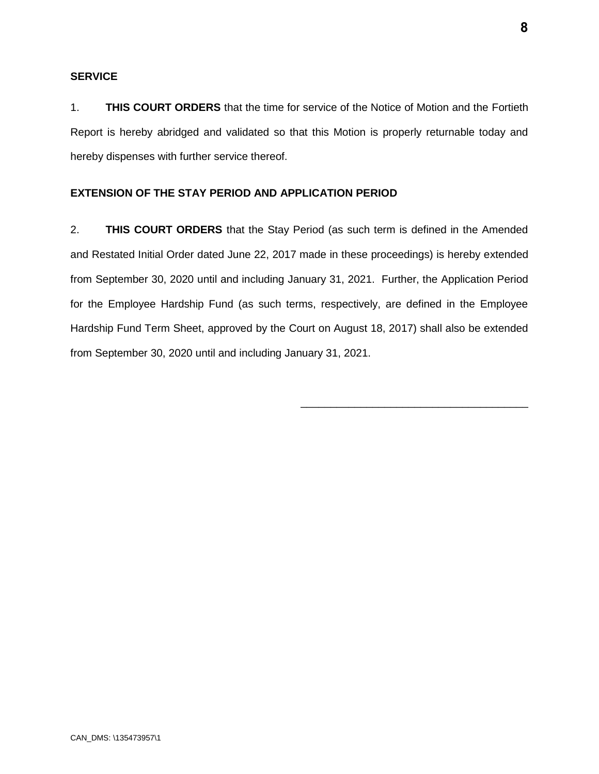## **SERVICE**

1. **THIS COURT ORDERS** that the time for service of the Notice of Motion and the Fortieth Report is hereby abridged and validated so that this Motion is properly returnable today and hereby dispenses with further service thereof.

## **EXTENSION OF THE STAY PERIOD AND APPLICATION PERIOD**

2. **THIS COURT ORDERS** that the Stay Period (as such term is defined in the Amended and Restated Initial Order dated June 22, 2017 made in these proceedings) is hereby extended from September 30, 2020 until and including January 31, 2021. Further, the Application Period for the Employee Hardship Fund (as such terms, respectively, are defined in the Employee Hardship Fund Term Sheet, approved by the Court on August 18, 2017) shall also be extended from September 30, 2020 until and including January 31, 2021.

\_\_\_\_\_\_\_\_\_\_\_\_\_\_\_\_\_\_\_\_\_\_\_\_\_\_\_\_\_\_\_\_\_\_\_\_\_\_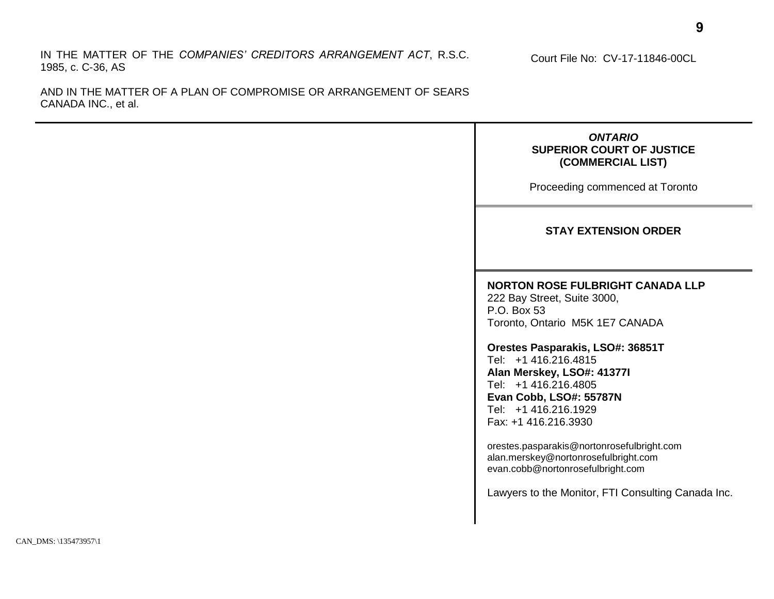IN THE MATTER OF THE *COMPANIES' CREDITORS ARRANGEMENT ACT*, R.S.C. 1985, c. C-36, AS

AND IN THE MATTER OF A PLAN OF COMPROMISE OR ARRANGEMENT OF SEARS CANADA INC., et al.

> *ONTARIO* **SUPERIOR COURT OF JUSTICE (COMMERCIAL LIST)**

Court File No: CV-17-11846-00CL

Proceeding commenced at Toronto

#### **STAY EXTENSION ORDER**

## **NORTON ROSE FULBRIGHT CANADA LLP**

222 Bay Street, Suite 3000, P.O. Box 53 Toronto, Ontario M5K 1E7 CANADA

**Orestes Pasparakis, LSO#: 36851T** Tel: +1 416.216.4815

**Alan Merskey, LSO#: 41377I** Tel: +1 416.216.4805 **Evan Cobb, LSO#: 55787N** Tel: +1 416.216.1929 Fax: +1 416.216.3930

orestes.pasparakis@nortonrosefulbright.com alan.merskey@nortonrosefulbright.com evan.cobb@nortonrosefulbright.com

Lawyers to the Monitor, FTI Consulting Canada Inc.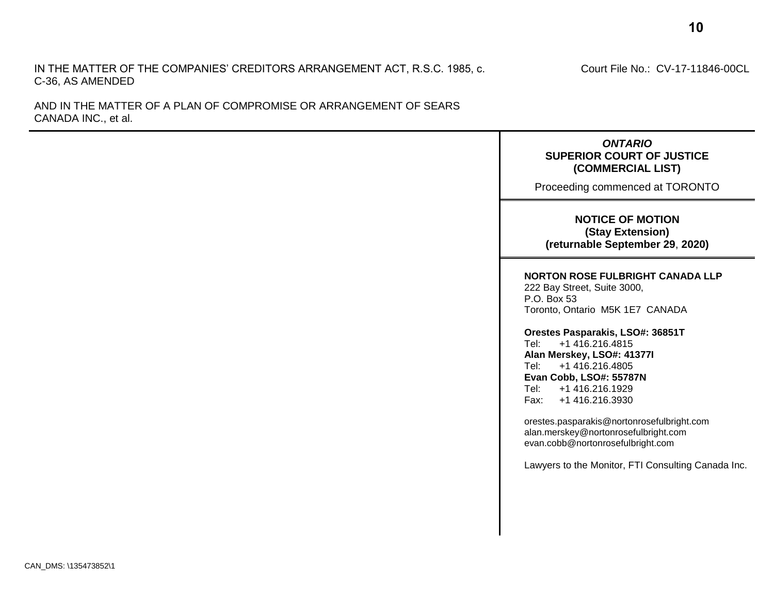#### IN THE MATTER OF THE COMPANIES' CREDITORS ARRANGEMENT ACT, R.S.C. 1985, c. C-36, AS AMENDED

AND IN THE MATTER OF A PLAN OF COMPROMISE OR ARRANGEMENT OF SEARS CANADA INC., et al.

CAN\_DMS: \135473852\1

#### Court File No.: CV-17-11846-00CL

## **SUPERIOR COURT OF JUSTICE (COMMERCIAL LIST)** Proceeding commenced at TORONTO

*ONTARIO*

#### **NOTICE OF MOTION (Stay Extension) (returnable September 29**, **2020)**

#### **NORTON ROSE FULBRIGHT CANADA LLP**

222 Bay Street, Suite 3000, P.O. Box 53 Toronto, Ontario M5K 1E7 CANADA

**Orestes Pasparakis, LSO#: 36851T** Tel: +1 416.216.4815 **Alan Merskey, LSO#: 41377I** Tel: +1 416.216.4805 **Evan Cobb, LSO#: 55787N** Tel: +1 416.216.1929 Fax: +1 416.216.3930

orestes.pasparakis@nortonrosefulbright.com alan.merskey@nortonrosefulbright.com evan.cobb@nortonrosefulbright.com

Lawyers to the Monitor, FTI Consulting Canada Inc.